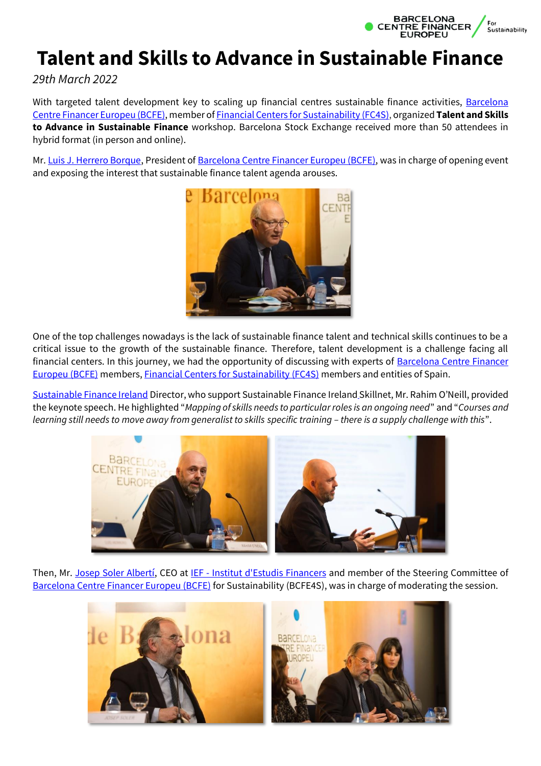

## **Talent and Skills to Advance in Sustainable Finance**

*29th March 2022*

With targeted talent development key to scaling up financial centres sustainable finance activities, Barcelona [Centre Financer Europeu \(BCFE\),](https://barcelonacentrefinancer.cat/en/) member of Financial Centers [for Sustainability \(FC4S\),](https://www.linkedin.com/company/undp-fc4s/) organized **Talent and Skills to Advance in Sustainable Finance** workshop. Barcelona Stock Exchange received more than 50 attendees in hybrid format (in person and online).

Mr[. Luis J. Herrero Borque,](https://www.linkedin.com/in/ACoAACN4V4MByR7UTlEmhZj-Vfo2d0U87bxTLYc) President of [Barcelona Centre Financer Europeu \(BCFE\),](https://barcelonacentrefinancer.cat/en/) was in charge of opening event and exposing the interest that sustainable finance talent agenda arouses.



One of the top challenges nowadays is the lack of sustainable finance talent and technical skills continues to be a critical issue to the growth of the sustainable finance. Therefore, talent development is a challenge facing all financial centers. In this journey, we had the opportunity of discussing with experts of **Barcelona Centre Financer** [Europeu \(BCFE\)](https://barcelonacentrefinancer.cat/en/) members, Financial Centers [for Sustainability \(FC4S\)](https://www.linkedin.com/company/undp-fc4s/) members and entities of Spain.

[Sustainable Finance Ireland](https://www.linkedin.com/company/sustainable-finance-ireland/) Director, who support Sustainable Finance Ireland Skillnet, Mr. Rahim O'Neill, provided the keynote speech. He highlighted "*Mapping of skills needs to particular roles is an ongoing need*" and "*Courses and*  learning still needs to move away from generalist to skills specific training - there is a supply challenge with this".



Then, Mr. [Josep Soler Albertí,](https://www.linkedin.com/in/ACoAAAGqQeMBYjkbcK8WmW6BDPCm_RDqOYD5EKU) CEO at IEF - [Institut d'Estudis Financers](https://www.linkedin.com/company/ief-institut-estudis-financers/) and member of the Steering Committee of [Barcelona Centre Financer Europeu \(BCFE\)](https://barcelonacentrefinancer.cat/en/) for Sustainability (BCFE4S), was in charge of moderating the session.

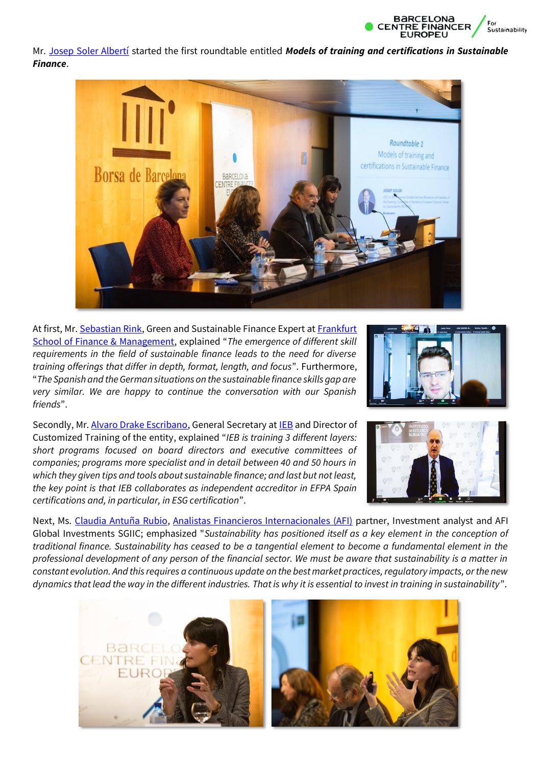

Mr. [Josep Soler Albertí](https://www.linkedin.com/in/ACoAAAGqQeMBYjkbcK8WmW6BDPCm_RDqOYD5EKU) started the first roundtable entitled *Models of training and certifications in Sustainable Finance*.



At first, Mr. [Sebastian Rink,](https://www.linkedin.com/in/ACoAABgIXg0BW1LBGSYYOBLVIvA_i7qAEstxWes) Green and Sustainable Finance Expert at Frankfurt [School of Finance & Management](https://www.linkedin.com/company/frankfurtschool/), explained "*The emergence of different skill requirements in the field of sustainable finance leads to the need for diverse training offerings that differ in depth, format, length, and focus*". Furthermore, "*The Spanish and the German situations on the sustainable finance skills gap are very similar. We are happy to continue the conversation with our Spanish friends*".



Secondly, Mr[. Alvaro Drake Escribano,](https://www.linkedin.com/in/ACoAAC3wuD8BJYnqcltiTFmEAogVSl1y9IL9pWc) General Secretary a[t IEB](https://www.linkedin.com/company/ieb/) and Director of Customized Training of the entity, explained "*IEB is training 3 different layers: short programs focused on board directors and executive committees of companies; programs more specialist and in detail between 40 and 50 hours in which they given tips and tools about sustainable finance; and last but not least, the key point is that IEB collaborates as independent accreditor in EFPA Spain certifications and, in particular, in ESG certification*".



Next, Ms. [Claudia Antuña Rubio,](https://www.linkedin.com/in/ACoAABg8cWcBeuTObMFHoc1v2jimkhsD70bgDD4) [Analistas Financieros Internacionales \(AFI\)](https://www.linkedin.com/company/analistas-financieros-internacionales/) partner, Investment analyst and AFI Global Investments SGIIC; emphasized "*Sustainability has positioned itself as a key element in the conception of traditional finance. Sustainability has ceased to be a tangential element to become a fundamental element in the professional development of any person of the financial sector. We must be aware that sustainability is a matter in constant evolution. And this requires a continuous update on the best market practices, regulatory impacts, or the new dynamics that lead the way in the different industries. That is why it is essential to invest in training in sustainability*".

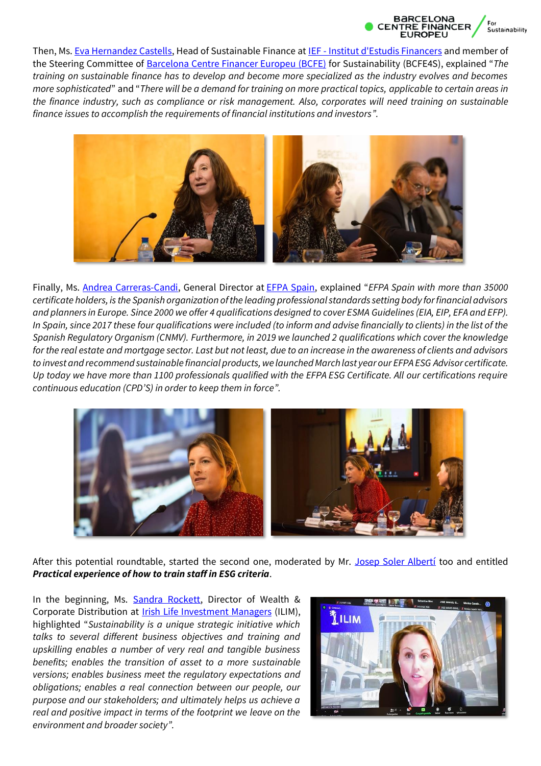

Then, Ms. [Eva Hernandez Castells,](https://www.linkedin.com/in/ACoAAAJrQmYBf4t-tQom5y_NYUYksZmYfWf9yu4?lipi=urn%3Ali%3Apage%3Ad_flagship3_detail_base%3BX3UgnmYsSkG0X2rZANtoNQ%3D%3D) Head of Sustainable Finance at IEF - [Institut d'Estudis Financers](https://www.linkedin.com/company/ief-institut-estudis-financers/) and member of the Steering Committee of [Barcelona Centre Financer Europeu \(BCFE\)](https://barcelonacentrefinancer.cat/en/) for Sustainability (BCFE4S), explained "*The training on sustainable finance has to develop and become more specialized as the industry evolves and becomes more sophisticated*" and "*There will be a demand for training on more practical topics, applicable to certain areas in the finance industry, such as compliance or risk management. Also, corporates will need training on sustainable finance issues to accomplish the requirements of financial institutions and investors".*



Finally, Ms. [Andrea Carreras-Candi,](https://www.linkedin.com/in/ACoAAAAjghYBWf4_ob7_m6OV2-Bu6QvQCgd0jI0) General Director at [EFPA Spain,](https://www.linkedin.com/company/efpa-spain/) explained "*EFPA Spain with more than 35000 certificate holders, is the Spanish organization of the leading professional standards setting body for financial advisors and planners in Europe. Since 2000 we offer 4 qualifications designed to cover ESMA Guidelines (EIA, EIP, EFA and EFP). In Spain, since 2017 these four qualifications were included (to inform and advise financially to clients) in the list of the Spanish Regulatory Organism (CNMV). Furthermore, in 2019 we launched 2 qualifications which cover the knowledge for the real estate and mortgage sector. Last but not least, due to an increase in the awareness of clients and advisors to invest and recommend sustainable financial products, we launched March last year our EFPA ESG Advisor certificate. Up today we have more than 1100 professionals qualified with the EFPA ESG Certificate. All our certifications require continuous education (CPD'S) in order to keep them in force".*



After this potential roundtable, started the second one, moderated by Mr. [Josep Soler Albertí](https://www.linkedin.com/in/ACoAAAGqQeMBYjkbcK8WmW6BDPCm_RDqOYD5EKU) too and entitled *Practical experience of how to train staff in ESG criteria*.

In the beginning, Ms. [Sandra Rockett,](https://www.linkedin.com/in/ACoAAAW7RQQBEcbKlrNIcqF7KwblfaeyPAz_zZw) Director of Wealth & Corporate Distribution at [Irish Life Investment Managers](https://www.linkedin.com/company/irish-life-investment-managers/) (ILIM), highlighted "*Sustainability is a unique strategic initiative which talks to several different business objectives and training and upskilling enables a number of very real and tangible business benefits; enables the transition of asset to a more sustainable versions; enables business meet the regulatory expectations and obligations; enables a real connection between our people, our purpose and our stakeholders; and ultimately helps us achieve a real and positive impact in terms of the footprint we leave on the environment and broader society".*